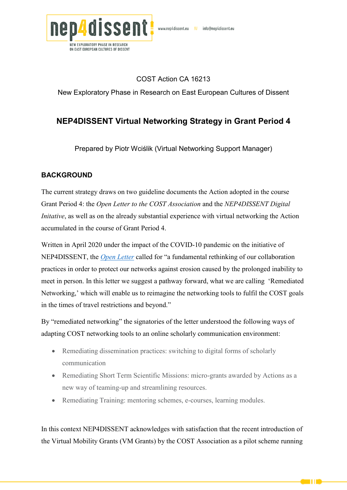

## COST Action CA 16213

New Exploratory Phase in Research on East European Cultures of Dissent

# **NEP4DISSENT Virtual Networking Strategy in Grant Period 4**

Prepared by Piotr Wciślik (Virtual Networking Support Manager)

## **BACKGROUND**

The current strategy draws on two guideline documents the Action adopted in the course Grant Period 4: the *Open Letter to the COST Association* and the *NEP4DISSENT Digital Initative*, as well as on the already substantial experience with virtual networking the Action accumulated in the course of Grant Period 4.

Written in April 2020 under the impact of the COVID-10 pandemic on the initiative of NEP4DISSENT, the *[Open Letter](https://nep4dissent.eu/news/open-letter-to-the-cost-association/)* called for "a fundamental rethinking of our collaboration practices in order to protect our networks against erosion caused by the prolonged inability to meet in person. In this letter we suggest a pathway forward, what we are calling 'Remediated Networking,' which will enable us to reimagine the networking tools to fulfil the COST goals in the times of travel restrictions and beyond."

By "remediated networking" the signatories of the letter understood the following ways of adapting COST networking tools to an online scholarly communication environment:

- Remediating dissemination practices: switching to digital forms of scholarly communication
- Remediating Short Term Scientific Missions: micro-grants awarded by Actions as a new way of teaming-up and streamlining resources.
- Remediating Training: mentoring schemes, e-courses, learning modules.

In this context NEP4DISSENT acknowledges with satisfaction that the recent introduction of the Virtual Mobility Grants (VM Grants) by the COST Association as a pilot scheme running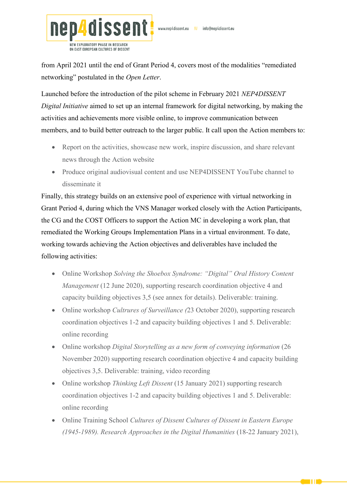

from April 2021 until the end of Grant Period 4, covers most of the modalities "remediated networking" postulated in the *Open Letter*.

Launched before the introduction of the pilot scheme in February 2021 *NEP4DISSENT Digital Initiative* aimed to set up an internal framework for digital networking, by making the activities and achievements more visible online, to improve communication between members, and to build better outreach to the larger public. It call upon the Action members to:

- Report on the activities, showcase new work, inspire discussion, and share relevant news through the Action website
- Produce original audiovisual content and use NEP4DISSENT YouTube channel to disseminate it

Finally, this strategy builds on an extensive pool of experience with virtual networking in Grant Period 4, during which the VNS Manager worked closely with the Action Participants, the CG and the COST Officers to support the Action MC in developing a work plan, that remediated the Working Groups Implementation Plans in a virtual environment. To date, working towards achieving the Action objectives and deliverables have included the following activities:

- Online Workshop *Solving the Shoebox Syndrome: "Digital" Oral History Content Management* (12 June 2020), supporting research coordination objective 4 and capacity building objectives 3,5 (see annex for details). Deliverable: training.
- Online workshop *Cultrures of Surveillance (*23 October 2020), supporting research coordination objectives 1-2 and capacity building objectives 1 and 5. Deliverable: online recording
- Online workshop *Digital Storytelling as a new form of conveying information* (26 November 2020) supporting research coordination objective 4 and capacity building objectives 3,5. Deliverable: training, video recording
- Online workshop *Thinking Left Dissent* (15 January 2021) supporting research coordination objectives 1-2 and capacity building objectives 1 and 5. Deliverable: online recording
- Online Training School *Cultures of Dissent Cultures of Dissent in Eastern Europe (1945-1989). Research Approaches in the Digital Humanities* (18-22 January 2021),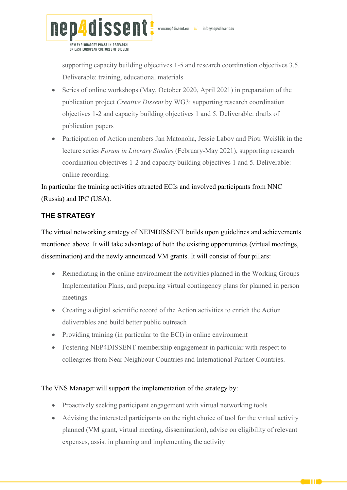

ON EAST EUROPEAN CULTURES OF DISSENT

supporting capacity building objectives 1-5 and research coordination objectives 3,5. Deliverable: training, educational materials

- Series of online workshops (May, October 2020, April 2021) in preparation of the publication project *Creative Dissent* by WG3: supporting research coordination objectives 1-2 and capacity building objectives 1 and 5. Deliverable: drafts of publication papers
- Participation of Action members Jan Matonoha, Jessie Labov and Piotr Wciślik in the lecture series *Forum in Literary Studies* (February-May 2021), supporting research coordination objectives 1-2 and capacity building objectives 1 and 5. Deliverable: online recording.

In particular the training activities attracted ECIs and involved participants from NNC (Russia) and IPC (USA).

## **THE STRATEGY**

The virtual networking strategy of NEP4DISSENT builds upon guidelines and achievements mentioned above. It will take advantage of both the existing opportunities (virtual meetings, dissemination) and the newly announced VM grants. It will consist of four pillars:

- Remediating in the online environment the activities planned in the Working Groups Implementation Plans, and preparing virtual contingency plans for planned in person meetings
- Creating a digital scientific record of the Action activities to enrich the Action deliverables and build better public outreach
- Providing training (in particular to the ECI) in online environment
- Fostering NEP4DISSENT membership engagement in particular with respect to colleagues from Near Neighbour Countries and International Partner Countries.

### The VNS Manager will support the implementation of the strategy by:

- Proactively seeking participant engagement with virtual networking tools
- Advising the interested participants on the right choice of tool for the virtual activity planned (VM grant, virtual meeting, dissemination), advise on eligibility of relevant expenses, assist in planning and implementing the activity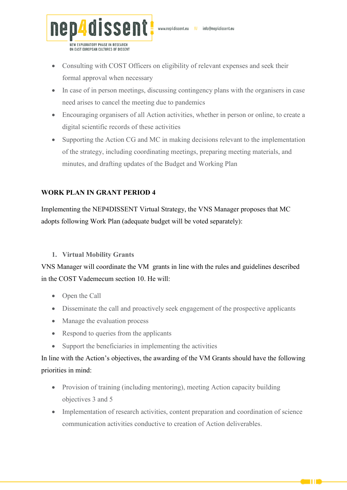

- Consulting with COST Officers on eligibility of relevant expenses and seek their formal approval when necessary
- In case of in person meetings, discussing contingency plans with the organisers in case need arises to cancel the meeting due to pandemics
- Encouraging organisers of all Action activities, whether in person or online, to create a digital scientific records of these activities
- Supporting the Action CG and MC in making decisions relevant to the implementation of the strategy, including coordinating meetings, preparing meeting materials, and minutes, and drafting updates of the Budget and Working Plan

## **WORK PLAN IN GRANT PERIOD 4**

Implementing the NEP4DISSENT Virtual Strategy, the VNS Manager proposes that MC adopts following Work Plan (adequate budget will be voted separately):

### **1. Virtual Mobility Grants**

VNS Manager will coordinate the VM grants in line with the rules and guidelines described in the COST Vademecum section 10. He will:

- Open the Call
- Disseminate the call and proactively seek engagement of the prospective applicants
- Manage the evaluation process
- Respond to queries from the applicants
- Support the beneficiaries in implementing the activities

In line with the Action's objectives, the awarding of the VM Grants should have the following priorities in mind:

- Provision of training (including mentoring), meeting Action capacity building objectives 3 and 5
- Implementation of research activities, content preparation and coordination of science communication activities conductive to creation of Action deliverables.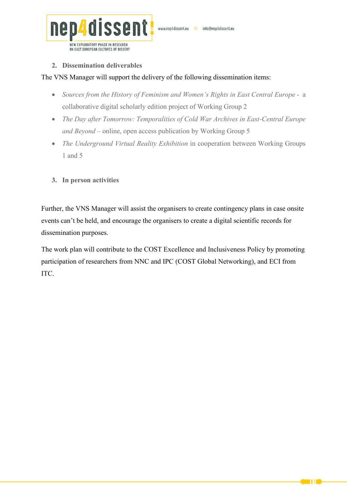

#### **2. Dissemination deliverables**

### The VNS Manager will support the delivery of the following dissemination items:

- Sources from the History of Feminism and Women's Rights in East Central Europe a collaborative digital scholarly edition project of Working Group 2
- *The Day after Tomorrow: Temporalities of Cold War Archives in East-Central Europe and Beyond* – online, open access publication by Working Group 5
- *The Underground Virtual Reality Exhibition* in cooperation between Working Groups 1 and 5

## **3. In person activities**

Further, the VNS Manager will assist the organisers to create contingency plans in case onsite events can't be held, and encourage the organisers to create a digital scientific records for dissemination purposes.

The work plan will contribute to the COST Excellence and Inclusiveness Policy by promoting participation of researchers from NNC and IPC (COST Global Networking), and ECI from ITC.